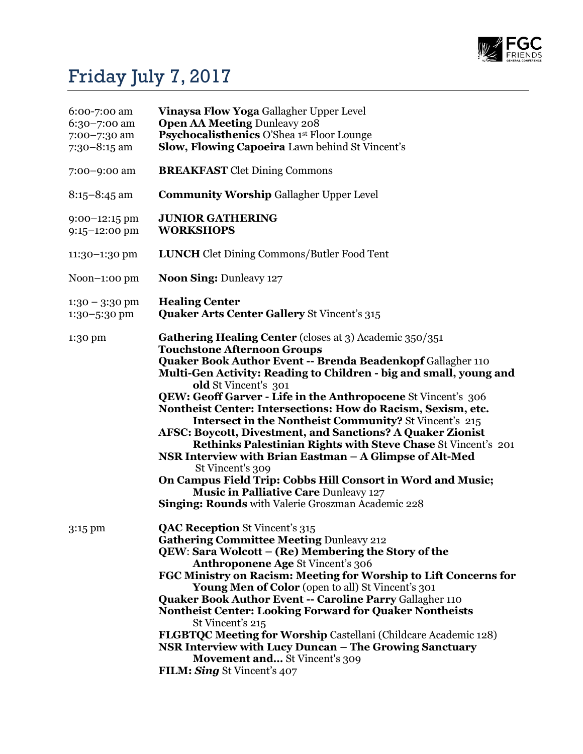

## Friday July 7, 2017

| 6:00-7:00 am<br>6:30-7:00 am<br>7:00-7:30 am<br>$7:30-8:15$ am | Vinaysa Flow Yoga Gallagher Upper Level<br><b>Open AA Meeting Dunleavy 208</b><br>Psychocalisthenics O'Shea 1st Floor Lounge<br>Slow, Flowing Capoeira Lawn behind St Vincent's                                                                                                                                                                                                                                                                                                                                                                                                                                                                                                                                                                                                                                                                               |
|----------------------------------------------------------------|---------------------------------------------------------------------------------------------------------------------------------------------------------------------------------------------------------------------------------------------------------------------------------------------------------------------------------------------------------------------------------------------------------------------------------------------------------------------------------------------------------------------------------------------------------------------------------------------------------------------------------------------------------------------------------------------------------------------------------------------------------------------------------------------------------------------------------------------------------------|
| 7:00-9:00 am                                                   | <b>BREAKFAST</b> Clet Dining Commons                                                                                                                                                                                                                                                                                                                                                                                                                                                                                                                                                                                                                                                                                                                                                                                                                          |
| $8:15 - 8:45$ am                                               | <b>Community Worship Gallagher Upper Level</b>                                                                                                                                                                                                                                                                                                                                                                                                                                                                                                                                                                                                                                                                                                                                                                                                                |
| $9:00-12:15$ pm<br>$9:15 - 12:00$ pm                           | <b>JUNIOR GATHERING</b><br><b>WORKSHOPS</b>                                                                                                                                                                                                                                                                                                                                                                                                                                                                                                                                                                                                                                                                                                                                                                                                                   |
| 11:30-1:30 pm                                                  | <b>LUNCH</b> Clet Dining Commons/Butler Food Tent                                                                                                                                                                                                                                                                                                                                                                                                                                                                                                                                                                                                                                                                                                                                                                                                             |
| Noon $-1:00$ pm                                                | <b>Noon Sing: Dunleavy 127</b>                                                                                                                                                                                                                                                                                                                                                                                                                                                                                                                                                                                                                                                                                                                                                                                                                                |
| $1:30 - 3:30$ pm<br>1:30-5:30 pm                               | <b>Healing Center</b><br><b>Quaker Arts Center Gallery St Vincent's 315</b>                                                                                                                                                                                                                                                                                                                                                                                                                                                                                                                                                                                                                                                                                                                                                                                   |
| 1:30 pm                                                        | Gathering Healing Center (closes at 3) Academic 350/351<br><b>Touchstone Afternoon Groups</b><br><b>Quaker Book Author Event -- Brenda Beadenkopf Gallagher 110</b><br>Multi-Gen Activity: Reading to Children - big and small, young and<br>old St Vincent's 301<br>QEW: Geoff Garver - Life in the Anthropocene St Vincent's 306<br>Nontheist Center: Intersections: How do Racism, Sexism, etc.<br><b>Intersect in the Nontheist Community?</b> St Vincent's 215<br>AFSC: Boycott, Divestment, and Sanctions? A Quaker Zionist<br>Rethinks Palestinian Rights with Steve Chase St Vincent's 201<br>NSR Interview with Brian Eastman - A Glimpse of Alt-Med<br>St Vincent's 309<br>On Campus Field Trip: Cobbs Hill Consort in Word and Music;<br><b>Music in Palliative Care Dunleavy 127</b><br><b>Singing: Rounds</b> with Valerie Groszman Academic 228 |
| 3:15 pm                                                        | <b>QAC Reception St Vincent's 315</b><br><b>Gathering Committee Meeting Dunleavy 212</b><br>QEW: Sara Wolcott – (Re) Membering the Story of the<br>Anthroponene Age St Vincent's 306<br>FGC Ministry on Racism: Meeting for Worship to Lift Concerns for<br>Young Men of Color (open to all) St Vincent's 301<br><b>Quaker Book Author Event -- Caroline Parry Gallagher 110</b><br><b>Nontheist Center: Looking Forward for Quaker Nontheists</b><br>St Vincent's 215<br><b>FLGBTQC Meeting for Worship Castellani (Childcare Academic 128)</b><br>NSR Interview with Lucy Duncan - The Growing Sanctuary<br><b>Movement and</b> St Vincent's 309<br>FILM: Sing St Vincent's 407                                                                                                                                                                             |